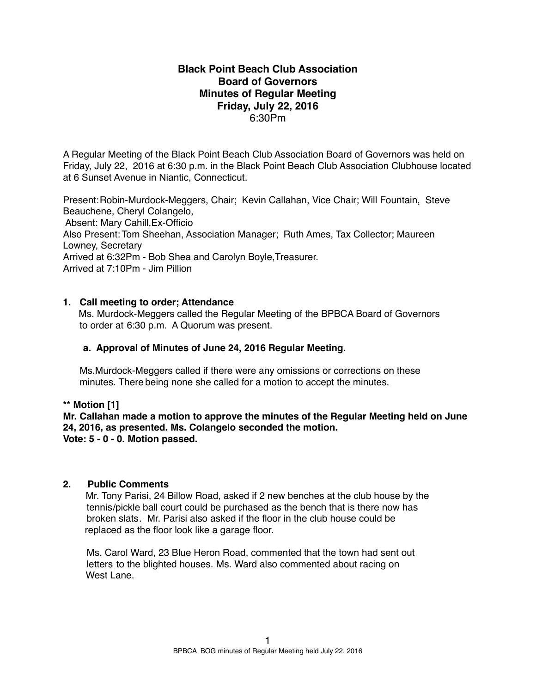# **Black Point Beach Club Association Board of Governors Minutes of Regular Meeting Friday, July 22, 2016** 6:30Pm

A Regular Meeting of the Black Point Beach Club Association Board of Governors was held on Friday, July 22, 2016 at 6:30 p.m. in the Black Point Beach Club Association Clubhouse located at 6 Sunset Avenue in Niantic, Connecticut.

Present:Robin-Murdock-Meggers, Chair; Kevin Callahan, Vice Chair; Will Fountain, Steve Beauchene, Cheryl Colangelo, Absent: Mary Cahill,Ex-Officio Also Present: Tom Sheehan, Association Manager; Ruth Ames, Tax Collector; Maureen Lowney, Secretary Arrived at 6:32Pm - Bob Shea and Carolyn Boyle,Treasurer. Arrived at 7:10Pm - Jim Pillion

# **1. Call meeting to order; Attendance**

Ms. Murdock-Meggers called the Regular Meeting of the BPBCA Board of Governors to order at 6:30 p.m. A Quorum was present.

# **a. Approval of Minutes of June 24, 2016 Regular Meeting.**

Ms.Murdock-Meggers called if there were any omissions or corrections on these minutes. There being none she called for a motion to accept the minutes.

**\*\* Motion [1]**

**Mr. Callahan made a motion to approve the minutes of the Regular Meeting held on June 24, 2016, as presented. Ms. Colangelo seconded the motion. Vote: 5 - 0 - 0. Motion passed.**

### **2. Public Comments**

Mr. Tony Parisi, 24 Billow Road, asked if 2 new benches at the club house by the tennis/pickle ball court could be purchased as the bench that is there now has broken slats. Mr. Parisi also asked if the floor in the club house could be replaced as the floor look like a garage floor.

Ms. Carol Ward, 23 Blue Heron Road, commented that the town had sent out letters to the blighted houses. Ms. Ward also commented about racing on West Lane.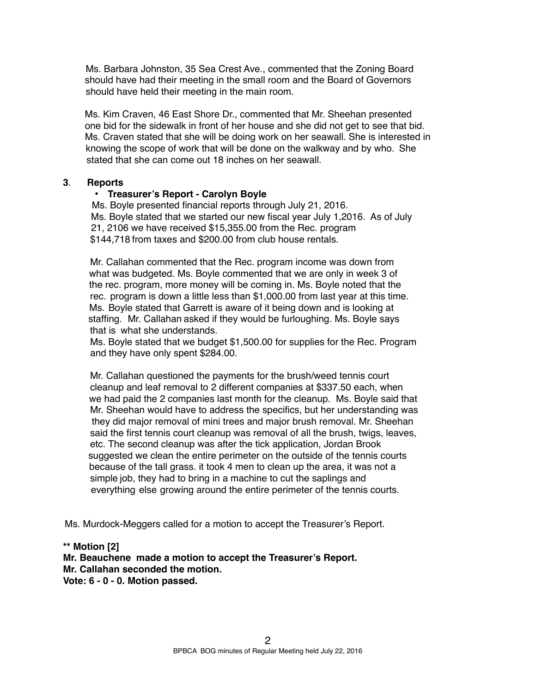Ms. Barbara Johnston, 35 Sea Crest Ave., commented that the Zoning Board should have had their meeting in the small room and the Board of Governors should have held their meeting in the main room.

 Ms. Kim Craven, 46 East Shore Dr., commented that Mr. Sheehan presented one bid for the sidewalk in front of her house and she did not get to see that bid. Ms. Craven stated that she will be doing work on her seawall. She is interested in knowing the scope of work that will be done on the walkway and by who. She stated that she can come out 18 inches on her seawall.

# **3**. **Reports**

# • **Treasurer's Report - Carolyn Boyle**

Ms. Boyle presented financial reports through July 21, 2016. Ms. Boyle stated that we started our new fiscal year July 1,2016. As of July 21, 2106 we have received \$15,355.00 from the Rec. program \$144,718 from taxes and \$200.00 from club house rentals.

Mr. Callahan commented that the Rec. program income was down from what was budgeted. Ms. Boyle commented that we are only in week 3 of the rec. program, more money will be coming in. Ms. Boyle noted that the rec. program is down a little less than \$1,000.00 from last year at this time. Ms. Boyle stated that Garrett is aware of it being down and is looking at staffing. Mr. Callahan asked if they would be furloughing. Ms. Boyle says that is what she understands.

 Ms. Boyle stated that we budget \$1,500.00 for supplies for the Rec. Program and they have only spent \$284.00.

Mr. Callahan questioned the payments for the brush/weed tennis court cleanup and leaf removal to 2 different companies at \$337.50 each, when we had paid the 2 companies last month for the cleanup. Ms. Boyle said that Mr. Sheehan would have to address the specifics, but her understanding was they did major removal of mini trees and major brush removal. Mr. Sheehan said the first tennis court cleanup was removal of all the brush, twigs, leaves, etc. The second cleanup was after the tick application, Jordan Brook suggested we clean the entire perimeter on the outside of the tennis courts because of the tall grass. it took 4 men to clean up the area, it was not a simple job, they had to bring in a machine to cut the saplings and everything else growing around the entire perimeter of the tennis courts.

Ms. Murdock-Meggers called for a motion to accept the Treasurer's Report.

**\*\* Motion [2] Mr. Beauchene made a motion to accept the Treasurer's Report. Mr. Callahan seconded the motion. Vote: 6 - 0 - 0. Motion passed.**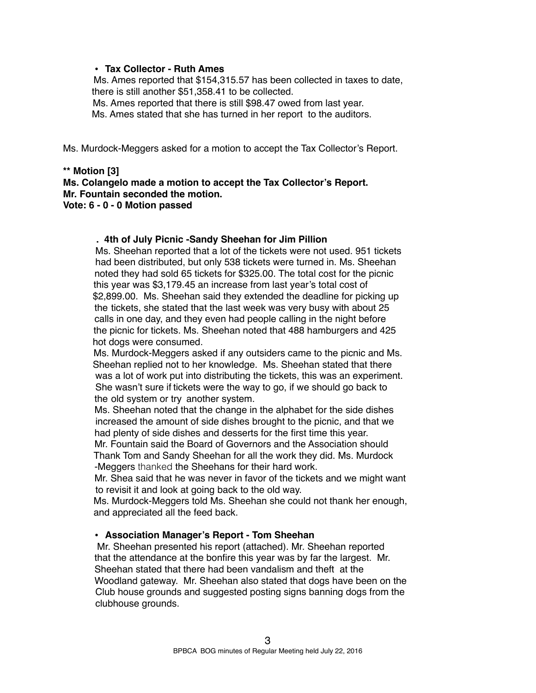# **• Tax Collector - Ruth Ames**

Ms. Ames reported that \$154,315.57 has been collected in taxes to date, there is still another \$51,358.41 to be collected.

Ms. Ames reported that there is still \$98.47 owed from last year.

Ms. Ames stated that she has turned in her report to the auditors.

Ms. Murdock-Meggers asked for a motion to accept the Tax Collector's Report.

### **\*\* Motion [3]**

**Ms. Colangelo made a motion to accept the Tax Collector's Report. Mr. Fountain seconded the motion. Vote: 6 - 0 - 0 Motion passed**

#### **. 4th of July Picnic -Sandy Sheehan for Jim Pillion**

Ms. Sheehan reported that a lot of the tickets were not used. 951 tickets had been distributed, but only 538 tickets were turned in. Ms. Sheehan noted they had sold 65 tickets for \$325.00. The total cost for the picnic this year was \$3,179.45 an increase from last year's total cost of \$2,899.00. Ms. Sheehan said they extended the deadline for picking up the tickets, she stated that the last week was very busy with about 25 calls in one day, and they even had people calling in the night before the picnic for tickets. Ms. Sheehan noted that 488 hamburgers and 425 hot dogs were consumed.

Ms. Murdock-Meggers asked if any outsiders came to the picnic and Ms. Sheehan replied not to her knowledge. Ms. Sheehan stated that there was a lot of work put into distributing the tickets, this was an experiment. She wasn't sure if tickets were the way to go, if we should go back to the old system or try another system.

Ms. Sheehan noted that the change in the alphabet for the side dishes increased the amount of side dishes brought to the picnic, and that we had plenty of side dishes and desserts for the first time this year.

Mr. Fountain said the Board of Governors and the Association should Thank Tom and Sandy Sheehan for all the work they did. Ms. Murdock -Meggers thanked the Sheehans for their hard work.

Mr. Shea said that he was never in favor of the tickets and we might want to revisit it and look at going back to the old way.

Ms. Murdock-Meggers told Ms. Sheehan she could not thank her enough, and appreciated all the feed back.

#### **• Association Manager's Report - Tom Sheehan**

Mr. Sheehan presented his report (attached). Mr. Sheehan reported that the attendance at the bonfire this year was by far the largest. Mr. Sheehan stated that there had been vandalism and theft at the Woodland gateway. Mr. Sheehan also stated that dogs have been on the Club house grounds and suggested posting signs banning dogs from the clubhouse grounds.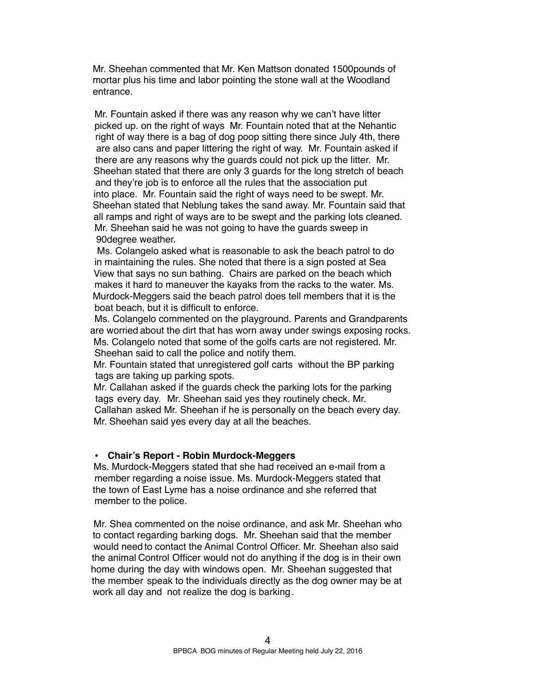Mr. Sheehan commented that Mr. Ken Mattson donated 1500pounds of mortar plus his time and labor pointing the stone wall at the Woodland entrance.

Mr. Fountain asked if there was any reason why we can't have litter picked up. on the right of ways Mr. Fountain noted that at the Nehantic right of way there is a bag of dog poop sitting there since July 4th, there are also cans and paper littering the right of way. Mr. Fountain asked if there are any reasons why the guards could not pick up the litter. Mr. Sheehan stated that there are only 3 guards for the long stretch of beach and they're job is to enforce all the rules that the association put into place. Mr. Fountain said the right of ways need to be swept. Mr. Sheehan stated that Neblung takes the sand away. Mr. Fountain said that all ramps and right of ways are to be swept and the parking lots cleaned. Mr. Sheehan said he was not going to have the guards sweep in 90degree weather.

Ms. Colangelo asked what is reasonable to ask the beach patrol to do in maintaining the rules. She noted that there is a sign posted at Sea View that says no sun bathing. Chairs are parked on the beach which makes it hard to maneuver the kayaks from the racks to the water. Ms. Murdock-Meggers said the beach patrol does tell members that it is the boat beach, but it is difficult to enforce.

Ms. Colangelo commented on the playground. Parents and Grandparents are worried about the dirt that has worn away under swings exposing rocks. Ms. Colangelo noted that some of the golfs carts are not registered. Mr.

Sheehan said to call the police and notify them.

Mr. Fountain stated that unregistered golf carts without the BP parking tags are taking up parking spots.

Mr. Callahan asked if the guards check the parking lots for the parking tags every day. Mr. Sheehan said yes they routinely check. Mr. Callahan asked Mr. Sheehan if he is personally on the beach every day. Mr. Sheehan said yes every day at all the beaches.

# **• Chair's Report - Robin Murdock-Meggers**

Ms. Murdock-Meggers stated that she had received an e-mail from a member regarding a noise issue. Ms. Murdock-Meggers stated that the town of East Lyme has a noise ordinance and she referred that member to the police.

Mr. Shea commented on the noise ordinance, and ask Mr. Sheehan who to contact regarding barking dogs. Mr. Sheehan said that the member would need to contact the Animal Control Officer. Mr. Sheehan also said the animal Control Officer would not do anything if the dog is in their own home during the day with windows open. Mr. Sheehan suggested that the member speak to the individuals directly as the dog owner may be at work all day and not realize the dog is barking.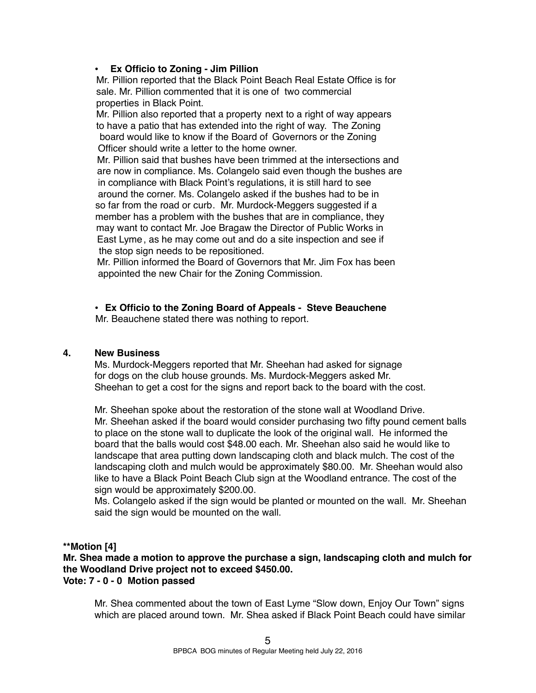# **• Ex Officio to Zoning - Jim Pillion**

Mr. Pillion reported that the Black Point Beach Real Estate Office is for sale. Mr. Pillion commented that it is one of two commercial properties in Black Point.

Mr. Pillion also reported that a property next to a right of way appears to have a patio that has extended into the right of way. The Zoning board would like to know if the Board of Governors or the Zoning Officer should write a letter to the home owner.

Mr. Pillion said that bushes have been trimmed at the intersections and are now in compliance. Ms. Colangelo said even though the bushes are in compliance with Black Point's regulations, it is still hard to see around the corner. Ms. Colangelo asked if the bushes had to be in so far from the road or curb. Mr. Murdock-Meggers suggested if a member has a problem with the bushes that are in compliance, they may want to contact Mr. Joe Bragaw the Director of Public Works in East Lyme, as he may come out and do a site inspection and see if the stop sign needs to be repositioned.

Mr. Pillion informed the Board of Governors that Mr. Jim Fox has been appointed the new Chair for the Zoning Commission.

• **Ex Officio to the Zoning Board of Appeals - Steve Beauchene**

Mr. Beauchene stated there was nothing to report.

# **4. New Business**

Ms. Murdock-Meggers reported that Mr. Sheehan had asked for signage for dogs on the club house grounds. Ms. Murdock-Meggers asked Mr. Sheehan to get a cost for the signs and report back to the board with the cost.

Mr. Sheehan spoke about the restoration of the stone wall at Woodland Drive. Mr. Sheehan asked if the board would consider purchasing two fifty pound cement balls to place on the stone wall to duplicate the look of the original wall. He informed the board that the balls would cost \$48.00 each. Mr. Sheehan also said he would like to landscape that area putting down landscaping cloth and black mulch. The cost of the landscaping cloth and mulch would be approximately \$80.00. Mr. Sheehan would also like to have a Black Point Beach Club sign at the Woodland entrance. The cost of the sign would be approximately \$200.00.

Ms. Colangelo asked if the sign would be planted or mounted on the wall. Mr. Sheehan said the sign would be mounted on the wall.

# **\*\*Motion [4]**

**Mr. Shea made a motion to approve the purchase a sign, landscaping cloth and mulch for the Woodland Drive project not to exceed \$450.00. Vote: 7 - 0 - 0 Motion passed**

Mr. Shea commented about the town of East Lyme "Slow down, Enjoy Our Town" signs which are placed around town. Mr. Shea asked if Black Point Beach could have similar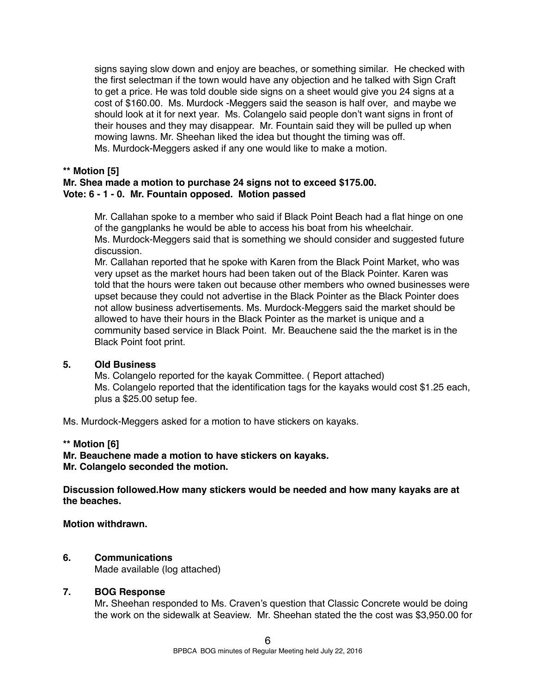signs saying slow down and enjoy are beaches, or something similar. He checked with the first selectman if the town would have any objection and he talked with Sign Craft to get a price. He was told double side signs on a sheet would give you 24 signs at a cost of \$160.00. Ms. Murdock -Meggers said the season is half over, and maybe we should look at it for next year. Ms. Colangelo said people don't want signs in front of their houses and they may disappear. Mr. Fountain said they will be pulled up when mowing lawns. Mr. Sheehan liked the idea but thought the timing was off. Ms. Murdock-Meggers asked if any one would like to make a motion.

# **\*\* Motion [5]**

# **Mr. Shea made a motion to purchase 24 signs not to exceed \$175.00. Vote: 6 - 1 - 0. Mr. Fountain opposed. Motion passed**

Mr. Callahan spoke to a member who said if Black Point Beach had a flat hinge on one of the gangplanks he would be able to access his boat from his wheelchair. Ms. Murdock-Meggers said that is something we should consider and suggested future discussion.

Mr. Callahan reported that he spoke with Karen from the Black Point Market, who was very upset as the market hours had been taken out of the Black Pointer. Karen was told that the hours were taken out because other members who owned businesses were upset because they could not advertise in the Black Pointer as the Black Pointer does not allow business advertisements. Ms. Murdock-Meggers said the market should be allowed to have their hours in the Black Pointer as the market is unique and a community based service in Black Point. Mr. Beauchene said the the market is in the Black Point foot print.

# **5. Old Business**

Ms. Colangelo reported for the kayak Committee. ( Report attached) Ms. Colangelo reported that the identification tags for the kayaks would cost \$1.25 each, plus a \$25.00 setup fee.

Ms. Murdock-Meggers asked for a motion to have stickers on kayaks.

# **\*\* Motion [6]**

**Mr. Beauchene made a motion to have stickers on kayaks. Mr. Colangelo seconded the motion.**

**Discussion followed.How many stickers would be needed and how many kayaks are at the beaches.** 

# **Motion withdrawn.**

# **6. Communications**

Made available (log attached)

# **7. BOG Response**

Mr**.** Sheehan responded to Ms. Craven's question that Classic Concrete would be doing the work on the sidewalk at Seaview. Mr. Sheehan stated the the cost was \$3,950.00 for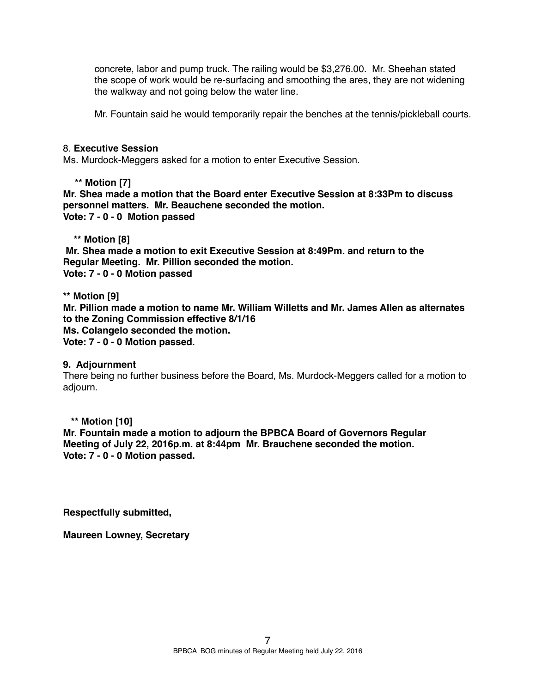concrete, labor and pump truck. The railing would be \$3,276.00. Mr. Sheehan stated the scope of work would be re-surfacing and smoothing the ares, they are not widening the walkway and not going below the water line.

Mr. Fountain said he would temporarily repair the benches at the tennis/pickleball courts.

### 8. **Executive Session**

Ms. Murdock-Meggers asked for a motion to enter Executive Session.

# **\*\* Motion [7]**

**Mr. Shea made a motion that the Board enter Executive Session at 8:33Pm to discuss personnel matters. Mr. Beauchene seconded the motion. Vote: 7 - 0 - 0 Motion passed** 

 **\*\* Motion [8]**

 **Mr. Shea made a motion to exit Executive Session at 8:49Pm. and return to the Regular Meeting. Mr. Pillion seconded the motion. Vote: 7 - 0 - 0 Motion passed**

**\*\* Motion [9] Mr. Pillion made a motion to name Mr. William Willetts and Mr. James Allen as alternates to the Zoning Commission effective 8/1/16 Ms. Colangelo seconded the motion. Vote: 7 - 0 - 0 Motion passed.**

# **9. Adjournment**

There being no further business before the Board, Ms. Murdock-Meggers called for a motion to adjourn.

# **\*\* Motion [10]**

**Mr. Fountain made a motion to adjourn the BPBCA Board of Governors Regular Meeting of July 22, 2016p.m. at 8:44pm Mr. Brauchene seconded the motion. Vote: 7 - 0 - 0 Motion passed.**

**Respectfully submitted,**

**Maureen Lowney, Secretary**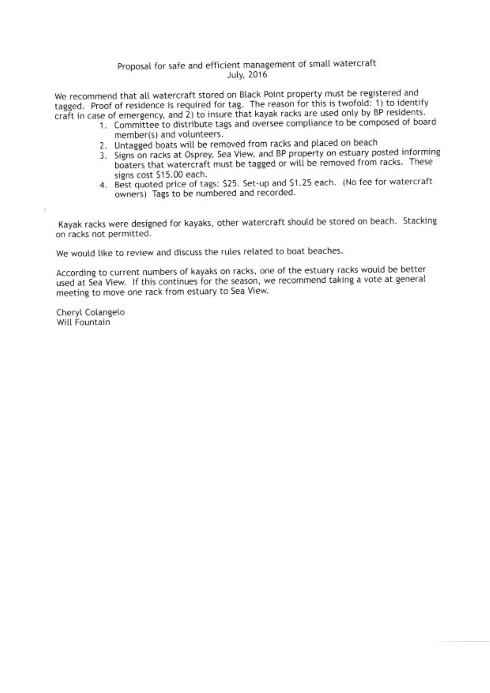# Proposal for safe and efficient management of small watercraft **July**, 2016

We recommend that all watercraft stored on Black Point property must be registered and tagged. Proof of residence is required for tag. The reason for this is twofold: 1) to identify craft in case of emergency, and 2) to insure that kayak racks are used only by BP residents.

- 1. Committee to distribute tags and oversee compliance to be composed of board member(s) and volunteers.
	- 2. Untagged boats will be removed from racks and placed on beach
- 3. Signs on racks at Osprey, Sea View, and BP property on estuary posted informing boaters that watercraft must be tagged or will be removed from racks. These signs cost \$15.00 each.
- 4. Best quoted price of tags: \$25. Set-up and \$1.25 each. (No fee for watercraft owners) Tags to be numbered and recorded.

Kayak racks were designed for kayaks, other watercraft should be stored on beach. Stacking on racks not permitted.

We would like to review and discuss the rules related to boat beaches.

According to current numbers of kayaks on racks, one of the estuary racks would be better used at Sea View. If this continues for the season, we recommend taking a vote at general meeting to move one rack from estuary to Sea View.

Cheryl Colangelo Will Fountain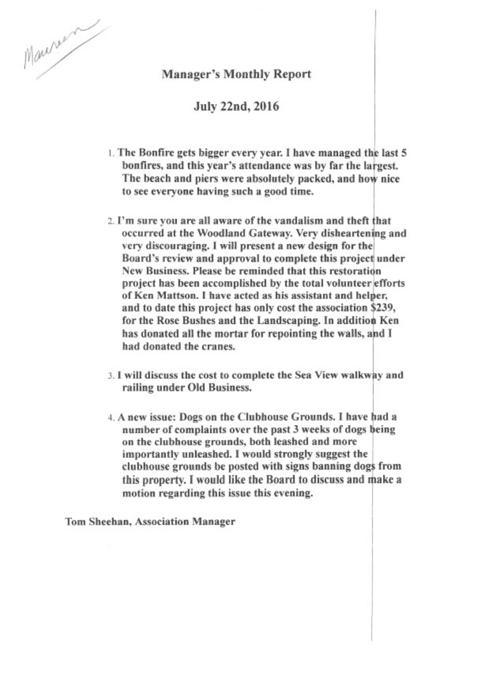

# **Manager's Monthly Report**

**July 22nd, 2016** 

- 1. The Bonfire gets bigger every year. I have managed the last 5 bonfires, and this year's attendance was by far the largest. The beach and piers were absolutely packed, and how nice to see everyone having such a good time.
- 2. I'm sure you are all aware of the vandalism and theft that occurred at the Woodland Gateway. Very disheartening and very discouraging. I will present a new design for the Board's review and approval to complete this project under New Business. Please be reminded that this restoration project has been accomplished by the total volunteer efforts of Ken Mattson. I have acted as his assistant and helper, and to date this project has only cost the association \$239, for the Rose Bushes and the Landscaping. In addition Ken has donated all the mortar for repointing the walls, and I had donated the cranes.
- 3. I will discuss the cost to complete the Sea View walkway and railing under Old Business.
- 4. A new issue: Dogs on the Clubhouse Grounds. I have had a number of complaints over the past 3 weeks of dogs being on the clubhouse grounds, both leashed and more importantly unleashed. I would strongly suggest the clubhouse grounds be posted with signs banning dogs from this property. I would like the Board to discuss and make a motion regarding this issue this evening.

Tom Sheehan, Association Manager